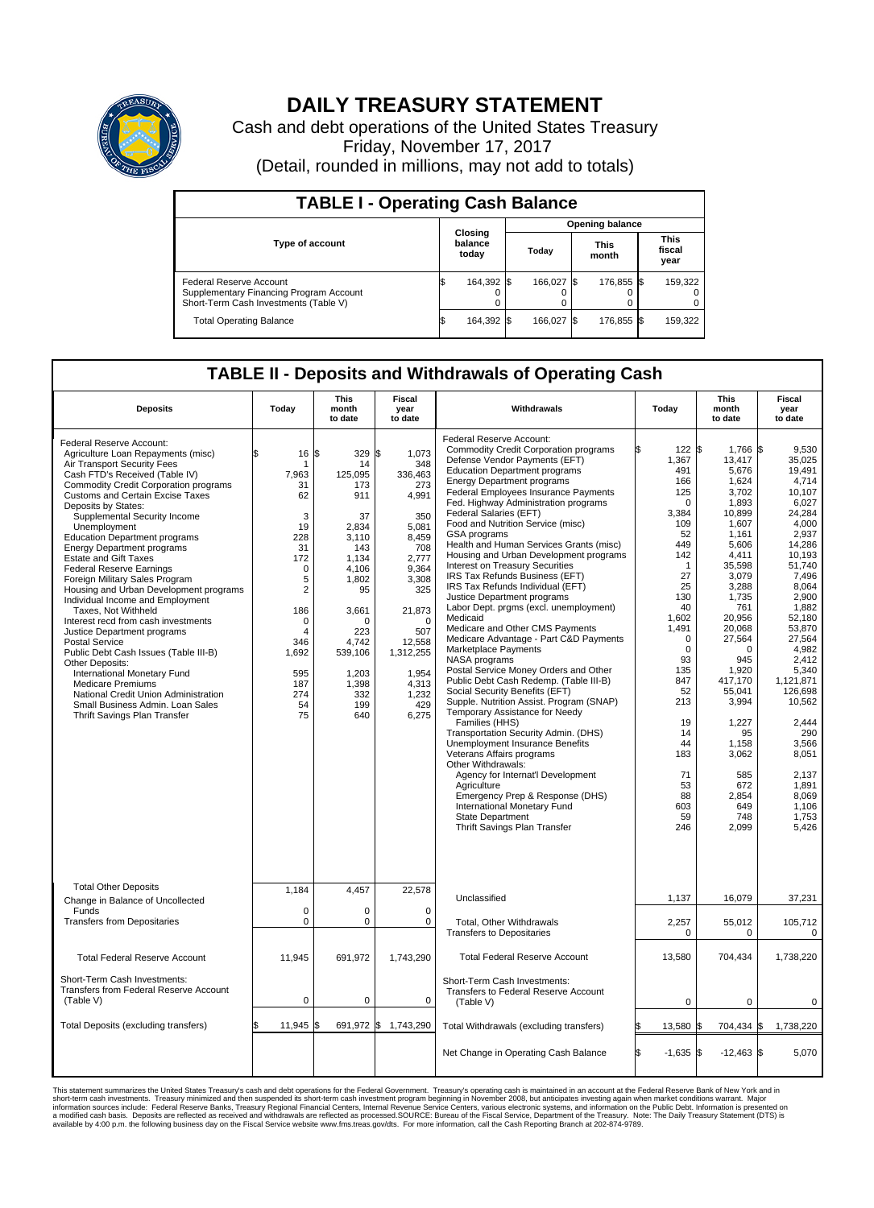

## **DAILY TREASURY STATEMENT**

Cash and debt operations of the United States Treasury Friday, November 17, 2017 (Detail, rounded in millions, may not add to totals)

| <b>TABLE I - Operating Cash Balance</b>                                                                     |  |                             |                        |            |  |                      |  |                               |  |  |  |
|-------------------------------------------------------------------------------------------------------------|--|-----------------------------|------------------------|------------|--|----------------------|--|-------------------------------|--|--|--|
|                                                                                                             |  |                             | <b>Opening balance</b> |            |  |                      |  |                               |  |  |  |
| <b>Type of account</b>                                                                                      |  | Closing<br>balance<br>today |                        | Today      |  | <b>This</b><br>month |  | <b>This</b><br>fiscal<br>year |  |  |  |
| Federal Reserve Account<br>Supplementary Financing Program Account<br>Short-Term Cash Investments (Table V) |  | 164,392 \$                  |                        | 166.027 \$ |  | 176,855 \$           |  | 159,322                       |  |  |  |
| <b>Total Operating Balance</b>                                                                              |  | 164,392 \$                  |                        | 166.027 \$ |  | 176,855 \$           |  | 159,322                       |  |  |  |

## **TABLE II - Deposits and Withdrawals of Operating Cash**

| <b>Deposits</b>                                                                                                                                                                                                                                                                                                                                                                                                                                                                                                                                                                                                                                                                                                                                                                                                                                                                                                     | Today                                                                                                                                                                               | <b>This</b><br>month<br>to date                                                                                                                                                                 | <b>Fiscal</b><br>year<br>to date                                                                                                                                                                               | Withdrawals                                                                                                                                                                                                                                                                                                                                                                                                                                                                                                                                                                                                                                                                                                                                                                                                                                                                                                                                                                                                                                                                                                                                                                                                                                                                                               | Today                                                                                                                                                                                                                                                                          | <b>This</b><br>month<br>to date                                                                                                                                                                                                                                                                                           | Fiscal<br>year<br>to date                                                                                                                                                                                                                                                                                                              |
|---------------------------------------------------------------------------------------------------------------------------------------------------------------------------------------------------------------------------------------------------------------------------------------------------------------------------------------------------------------------------------------------------------------------------------------------------------------------------------------------------------------------------------------------------------------------------------------------------------------------------------------------------------------------------------------------------------------------------------------------------------------------------------------------------------------------------------------------------------------------------------------------------------------------|-------------------------------------------------------------------------------------------------------------------------------------------------------------------------------------|-------------------------------------------------------------------------------------------------------------------------------------------------------------------------------------------------|----------------------------------------------------------------------------------------------------------------------------------------------------------------------------------------------------------------|-----------------------------------------------------------------------------------------------------------------------------------------------------------------------------------------------------------------------------------------------------------------------------------------------------------------------------------------------------------------------------------------------------------------------------------------------------------------------------------------------------------------------------------------------------------------------------------------------------------------------------------------------------------------------------------------------------------------------------------------------------------------------------------------------------------------------------------------------------------------------------------------------------------------------------------------------------------------------------------------------------------------------------------------------------------------------------------------------------------------------------------------------------------------------------------------------------------------------------------------------------------------------------------------------------------|--------------------------------------------------------------------------------------------------------------------------------------------------------------------------------------------------------------------------------------------------------------------------------|---------------------------------------------------------------------------------------------------------------------------------------------------------------------------------------------------------------------------------------------------------------------------------------------------------------------------|----------------------------------------------------------------------------------------------------------------------------------------------------------------------------------------------------------------------------------------------------------------------------------------------------------------------------------------|
| Federal Reserve Account:<br>Agriculture Loan Repayments (misc)<br>Air Transport Security Fees<br>Cash FTD's Received (Table IV)<br><b>Commodity Credit Corporation programs</b><br><b>Customs and Certain Excise Taxes</b><br>Deposits by States:<br>Supplemental Security Income<br>Unemployment<br><b>Education Department programs</b><br><b>Energy Department programs</b><br>Estate and Gift Taxes<br><b>Federal Reserve Earnings</b><br>Foreign Military Sales Program<br>Housing and Urban Development programs<br>Individual Income and Employment<br>Taxes, Not Withheld<br>Interest recd from cash investments<br>Justice Department programs<br><b>Postal Service</b><br>Public Debt Cash Issues (Table III-B)<br>Other Deposits:<br>International Monetary Fund<br><b>Medicare Premiums</b><br>National Credit Union Administration<br>Small Business Admin. Loan Sales<br>Thrift Savings Plan Transfer | 16<br>\$<br>1<br>7,963<br>31<br>62<br>3<br>19<br>228<br>31<br>172<br>$\mathbf 0$<br>5<br>$\overline{2}$<br>186<br>$\mathbf 0$<br>4<br>346<br>1,692<br>595<br>187<br>274<br>54<br>75 | \$<br>329<br>14<br>125,095<br>173<br>911<br>37<br>2,834<br>3,110<br>143<br>1.134<br>4,106<br>1.802<br>95<br>3,661<br>$\Omega$<br>223<br>4.742<br>539,106<br>1,203<br>1,398<br>332<br>199<br>640 | \$<br>1,073<br>348<br>336,463<br>273<br>4,991<br>350<br>5,081<br>8,459<br>708<br>2.777<br>9,364<br>3,308<br>325<br>21,873<br>$\Omega$<br>507<br>12,558<br>1,312,255<br>1,954<br>4,313<br>1,232<br>429<br>6,275 | Federal Reserve Account:<br><b>Commodity Credit Corporation programs</b><br>Defense Vendor Payments (EFT)<br><b>Education Department programs</b><br><b>Energy Department programs</b><br><b>Federal Employees Insurance Payments</b><br>Fed. Highway Administration programs<br>Federal Salaries (EFT)<br>Food and Nutrition Service (misc)<br>GSA programs<br>Health and Human Services Grants (misc)<br>Housing and Urban Development programs<br>Interest on Treasury Securities<br>IRS Tax Refunds Business (EFT)<br>IRS Tax Refunds Individual (EFT)<br>Justice Department programs<br>Labor Dept. prgms (excl. unemployment)<br>Medicaid<br>Medicare and Other CMS Payments<br>Medicare Advantage - Part C&D Payments<br>Marketplace Payments<br>NASA programs<br>Postal Service Money Orders and Other<br>Public Debt Cash Redemp. (Table III-B)<br>Social Security Benefits (EFT)<br>Supple. Nutrition Assist. Program (SNAP)<br>Temporary Assistance for Needy<br>Families (HHS)<br>Transportation Security Admin. (DHS)<br>Unemployment Insurance Benefits<br>Veterans Affairs programs<br>Other Withdrawals:<br>Agency for Internat'l Development<br>Agriculture<br>Emergency Prep & Response (DHS)<br>International Monetary Fund<br><b>State Department</b><br>Thrift Savings Plan Transfer | 122S<br>1,367<br>491<br>166<br>125<br>$\mathbf 0$<br>3,384<br>109<br>52<br>449<br>142<br>$\mathbf{1}$<br>27<br>25<br>130<br>40<br>1,602<br>1,491<br>$\mathbf 0$<br>$\mathbf 0$<br>93<br>135<br>847<br>52<br>213<br>19<br>14<br>44<br>183<br>71<br>53<br>88<br>603<br>59<br>246 | $1,766$ \$<br>13,417<br>5,676<br>1,624<br>3.702<br>1,893<br>10,899<br>1,607<br>1.161<br>5,606<br>4,411<br>35,598<br>3,079<br>3,288<br>1,735<br>761<br>20,956<br>20,068<br>27,564<br>$\Omega$<br>945<br>1,920<br>417,170<br>55,041<br>3,994<br>1,227<br>95<br>1,158<br>3,062<br>585<br>672<br>2,854<br>649<br>748<br>2,099 | 9.530<br>35,025<br>19.491<br>4,714<br>10.107<br>6,027<br>24.284<br>4,000<br>2.937<br>14,286<br>10.193<br>51.740<br>7,496<br>8.064<br>2,900<br>1.882<br>52,180<br>53,870<br>27.564<br>4,982<br>2.412<br>5,340<br>1,121,871<br>126,698<br>10,562<br>2,444<br>290<br>3,566<br>8,051<br>2.137<br>1.891<br>8,069<br>1,106<br>1,753<br>5,426 |
| <b>Total Other Deposits</b><br>Change in Balance of Uncollected<br>Funds<br><b>Transfers from Depositaries</b>                                                                                                                                                                                                                                                                                                                                                                                                                                                                                                                                                                                                                                                                                                                                                                                                      | 1.184<br>$\mathbf 0$<br>$\pmb{0}$                                                                                                                                                   | 4,457<br>0<br>0                                                                                                                                                                                 | 22,578<br>0<br>$\mathbf 0$                                                                                                                                                                                     | Unclassified<br><b>Total, Other Withdrawals</b><br><b>Transfers to Depositaries</b>                                                                                                                                                                                                                                                                                                                                                                                                                                                                                                                                                                                                                                                                                                                                                                                                                                                                                                                                                                                                                                                                                                                                                                                                                       | 1,137<br>2,257<br>0                                                                                                                                                                                                                                                            | 16,079<br>55,012<br>0                                                                                                                                                                                                                                                                                                     | 37,231<br>105,712<br>0                                                                                                                                                                                                                                                                                                                 |
| <b>Total Federal Reserve Account</b>                                                                                                                                                                                                                                                                                                                                                                                                                                                                                                                                                                                                                                                                                                                                                                                                                                                                                | 11,945                                                                                                                                                                              | 691,972                                                                                                                                                                                         | 1,743,290                                                                                                                                                                                                      | <b>Total Federal Reserve Account</b>                                                                                                                                                                                                                                                                                                                                                                                                                                                                                                                                                                                                                                                                                                                                                                                                                                                                                                                                                                                                                                                                                                                                                                                                                                                                      | 13,580                                                                                                                                                                                                                                                                         | 704,434                                                                                                                                                                                                                                                                                                                   | 1,738,220                                                                                                                                                                                                                                                                                                                              |
| Short-Term Cash Investments:<br>Transfers from Federal Reserve Account<br>(Table V)                                                                                                                                                                                                                                                                                                                                                                                                                                                                                                                                                                                                                                                                                                                                                                                                                                 | $\pmb{0}$                                                                                                                                                                           | 0                                                                                                                                                                                               | 0                                                                                                                                                                                                              | Short-Term Cash Investments:<br>Transfers to Federal Reserve Account<br>(Table V)                                                                                                                                                                                                                                                                                                                                                                                                                                                                                                                                                                                                                                                                                                                                                                                                                                                                                                                                                                                                                                                                                                                                                                                                                         | $\mathbf 0$                                                                                                                                                                                                                                                                    | $\mathbf 0$                                                                                                                                                                                                                                                                                                               | 0                                                                                                                                                                                                                                                                                                                                      |
| Total Deposits (excluding transfers)                                                                                                                                                                                                                                                                                                                                                                                                                                                                                                                                                                                                                                                                                                                                                                                                                                                                                | 11,945<br>\$                                                                                                                                                                        | \$                                                                                                                                                                                              | 691,972 \$ 1,743,290                                                                                                                                                                                           | Total Withdrawals (excluding transfers)                                                                                                                                                                                                                                                                                                                                                                                                                                                                                                                                                                                                                                                                                                                                                                                                                                                                                                                                                                                                                                                                                                                                                                                                                                                                   | 13,580 \$<br>ß.                                                                                                                                                                                                                                                                | 704,434 \$                                                                                                                                                                                                                                                                                                                | 1,738,220                                                                                                                                                                                                                                                                                                                              |
|                                                                                                                                                                                                                                                                                                                                                                                                                                                                                                                                                                                                                                                                                                                                                                                                                                                                                                                     |                                                                                                                                                                                     |                                                                                                                                                                                                 |                                                                                                                                                                                                                | Net Change in Operating Cash Balance                                                                                                                                                                                                                                                                                                                                                                                                                                                                                                                                                                                                                                                                                                                                                                                                                                                                                                                                                                                                                                                                                                                                                                                                                                                                      | ß.<br>$-1,635$ \$                                                                                                                                                                                                                                                              | $-12,463$ \$                                                                                                                                                                                                                                                                                                              | 5,070                                                                                                                                                                                                                                                                                                                                  |

This statement summarizes the United States Treasury's cash and debt operations for the Federal Government. Treasury soperating in November 2008, but anticiarded in a cocount at the Federal Reserve Bank of New York and in<br>